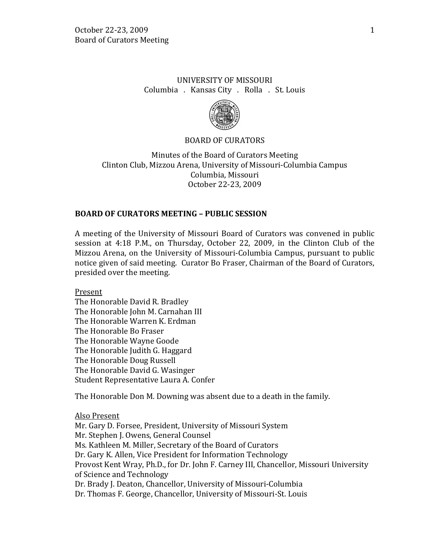# UNIVERSITY OF MISSOURI Columbia . Kansas City . Rolla . St. Louis



### BOARD OF CURATORS

Minutes of the Board of Curators Meeting Clinton Club, Mizzou Arena, University of Missouri-Columbia Campus Columbia, Missouri October 22-23, 2009

### **BOARD OF CURATORS MEETING – PUBLIC SESSION**

A meeting of the University of Missouri Board of Curators was convened in public session at 4:18 P.M., on Thursday, October 22, 2009, in the Clinton Club of the Mizzou Arena, on the University of Missouri-Columbia Campus, pursuant to public notice given of said meeting. Curator Bo Fraser, Chairman of the Board of Curators, presided over the meeting.

Present

The Honorable David R. Bradley The Honorable John M. Carnahan III The Honorable Warren K. Erdman The Honorable Bo Fraser The Honorable Wayne Goode The Honorable Judith G. Haggard The Honorable Doug Russell The Honorable David G. Wasinger Student Representative Laura A. Confer

The Honorable Don M. Downing was absent due to a death in the family.

Also Present

Mr. Gary D. Forsee, President, University of Missouri System Mr. Stephen J. Owens, General Counsel Ms. Kathleen M. Miller, Secretary of the Board of Curators Dr. Gary K. Allen, Vice President for Information Technology Provost Kent Wray, Ph.D., for Dr. John F. Carney III, Chancellor, Missouri University of Science and Technology Dr. Brady J. Deaton, Chancellor, University of Missouri-Columbia Dr. Thomas F. George, Chancellor, University of Missouri-St. Louis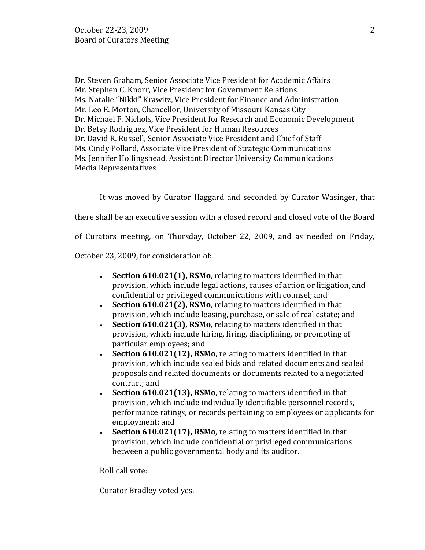Dr. Steven Graham, Senior Associate Vice President for Academic Affairs Mr. Stephen C. Knorr, Vice President for Government Relations Ms. Natalie "Nikki" Krawitz, Vice President for Finance and Administration Mr. Leo E. Morton, Chancellor, University of Missouri-Kansas City Dr. Michael F. Nichols, Vice President for Research and Economic Development Dr. Betsy Rodriguez, Vice President for Human Resources Dr. David R. Russell, Senior Associate Vice President and Chief of Staff Ms. Cindy Pollard, Associate Vice President of Strategic Communications Ms. Jennifer Hollingshead, Assistant Director University Communications Media Representatives

It was moved by Curator Haggard and seconded by Curator Wasinger, that

there shall be an executive session with a closed record and closed vote of the Board

of Curators meeting, on Thursday, October 22, 2009, and as needed on Friday,

October 23, 2009, for consideration of:

- **Section 610.021(1), RSMo**, relating to matters identified in that provision, which include legal actions, causes of action or litigation, and confidential or privileged communications with counsel; and
- **Section 610.021(2), RSMo**, relating to matters identified in that provision, which include leasing, purchase, or sale of real estate; and
- **Section 610.021(3), RSMo**, relating to matters identified in that provision, which include hiring, firing, disciplining, or promoting of particular employees; and
- **Section 610.021(12), RSMo**, relating to matters identified in that provision, which include sealed bids and related documents and sealed proposals and related documents or documents related to a negotiated contract; and
- **Section 610.021(13), RSMo**, relating to matters identified in that provision, which include individually identifiable personnel records, performance ratings, or records pertaining to employees or applicants for employment; and
- **Section 610.021(17), RSMo**, relating to matters identified in that provision, which include confidential or privileged communications between a public governmental body and its auditor.

Roll call vote:

Curator Bradley voted yes.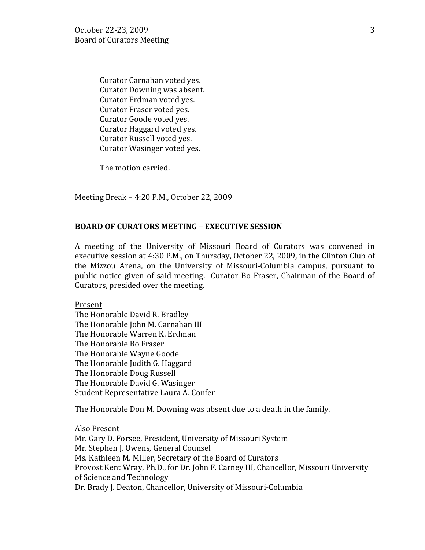Curator Carnahan voted yes. Curator Downing was absent. Curator Erdman voted yes. Curator Fraser voted yes. Curator Goode voted yes. Curator Haggard voted yes. Curator Russell voted yes. Curator Wasinger voted yes.

The motion carried.

Meeting Break – 4:20 P.M., October 22, 2009

### **BOARD OF CURATORS MEETING – EXECUTIVE SESSION**

A meeting of the University of Missouri Board of Curators was convened in executive session at 4:30 P.M., on Thursday, October 22, 2009, in the Clinton Club of the Mizzou Arena, on the University of Missouri-Columbia campus, pursuant to public notice given of said meeting. Curator Bo Fraser, Chairman of the Board of Curators, presided over the meeting.

Present

The Honorable David R. Bradley The Honorable John M. Carnahan III The Honorable Warren K. Erdman The Honorable Bo Fraser The Honorable Wayne Goode The Honorable Judith G. Haggard The Honorable Doug Russell The Honorable David G. Wasinger Student Representative Laura A. Confer

The Honorable Don M. Downing was absent due to a death in the family.

Also Present Mr. Gary D. Forsee, President, University of Missouri System Mr. Stephen J. Owens, General Counsel Ms. Kathleen M. Miller, Secretary of the Board of Curators Provost Kent Wray, Ph.D., for Dr. John F. Carney III, Chancellor, Missouri University of Science and Technology Dr. Brady J. Deaton, Chancellor, University of Missouri-Columbia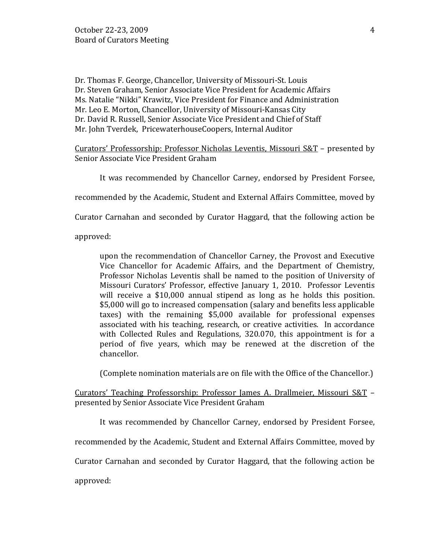Dr. Thomas F. George, Chancellor, University of Missouri-St. Louis Dr. Steven Graham, Senior Associate Vice President for Academic Affairs Ms. Natalie "Nikki" Krawitz, Vice President for Finance and Administration Mr. Leo E. Morton, Chancellor, University of Missouri-Kansas City Dr. David R. Russell, Senior Associate Vice President and Chief of Staff Mr. John Tverdek, PricewaterhouseCoopers, Internal Auditor

Curators' Professorship: Professor Nicholas Leventis, Missouri S&T - presented by Senior Associate Vice President Graham

It was recommended by Chancellor Carney, endorsed by President Forsee,

recommended by the Academic, Student and External Affairs Committee, moved by

Curator Carnahan and seconded by Curator Haggard, that the following action be

approved:

upon the recommendation of Chancellor Carney, the Provost and Executive Vice Chancellor for Academic Affairs, and the Department of Chemistry, Professor Nicholas Leventis shall be named to the position of University of Missouri Curators' Professor, effective January 1, 2010. Professor Leventis will receive a \$10,000 annual stipend as long as he holds this position. \$5,000 will go to increased compensation (salary and benefits less applicable taxes) with the remaining \$5,000 available for professional expenses associated with his teaching, research, or creative activities. In accordance with Collected Rules and Regulations, 320.070, this appointment is for a period of five years, which may be renewed at the discretion of the chancellor.

(Complete nomination materials are on file with the Office of the Chancellor.)

Curators' Teaching Professorship: Professor James A. Drallmeier, Missouri S&T – presented by Senior Associate Vice President Graham

It was recommended by Chancellor Carney, endorsed by President Forsee,

recommended by the Academic, Student and External Affairs Committee, moved by

Curator Carnahan and seconded by Curator Haggard, that the following action be

approved: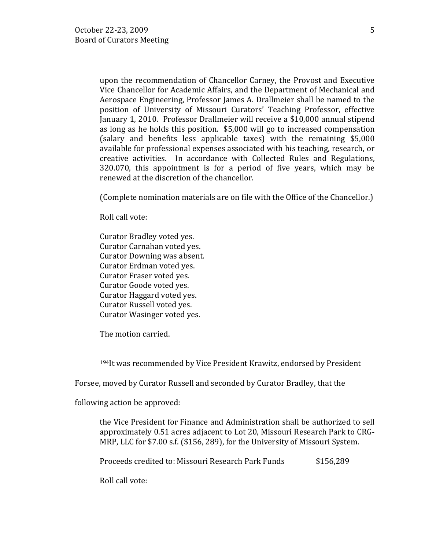upon the recommendation of Chancellor Carney, the Provost and Executive Vice Chancellor for Academic Affairs, and the Department of Mechanical and Aerospace Engineering, Professor James A. Drallmeier shall be named to the position of University of Missouri Curators' Teaching Professor, effective January 1, 2010. Professor Drallmeier will receive a \$10,000 annual stipend as long as he holds this position. \$5,000 will go to increased compensation (salary and benefits less applicable taxes) with the remaining \$5,000 available for professional expenses associated with his teaching, research, or creative activities. In accordance with Collected Rules and Regulations, 320.070, this appointment is for a period of five years, which may be renewed at the discretion of the chancellor.

(Complete nomination materials are on file with the Office of the Chancellor.)

Roll call vote:

Curator Bradley voted yes. Curator Carnahan voted yes. Curator Downing was absent. Curator Erdman voted yes. Curator Fraser voted yes. Curator Goode voted yes. Curator Haggard voted yes. Curator Russell voted yes. Curator Wasinger voted yes.

The motion carried.

194It was recommended by Vice President Krawitz, endorsed by President

Forsee, moved by Curator Russell and seconded by Curator Bradley, that the

following action be approved:

the Vice President for Finance and Administration shall be authorized to sell approximately 0.51 acres adjacent to Lot 20, Missouri Research Park to CRG-MRP, LLC for \$7.00 s.f. (\$156, 289), for the University of Missouri System.

Proceeds credited to: Missouri Research Park Funds \$156,289

Roll call vote: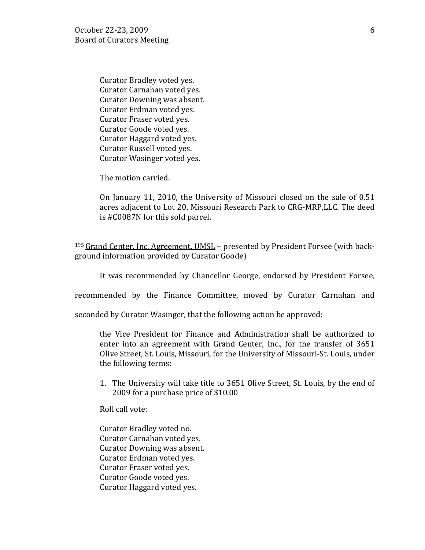Curator Bradley voted yes. Curator Carnahan voted yes. Curator Downing was absent. Curator Erdman voted yes. Curator Fraser voted yes. Curator Goode voted yes. Curator Haggard voted yes. Curator Russell voted yes. Curator Wasinger voted yes.

The motion carried.

On January 11, 2010, the University of Missouri closed on the sale of 0.51 acres adjacent to Lot 20, Missouri Research Park to CRG-MRP,LLC. The deed is #C0087N for this sold parcel.

<sup>195</sup> Grand Center, Inc. Agreement, UMSL - presented by President Forsee (with background information provided by Curator Goode)

It was recommended by Chancellor George, endorsed by President Forsee,

recommended by the Finance Committee, moved by Curator Carnahan and

seconded by Curator Wasinger, that the following action be approved:

the Vice President for Finance and Administration shall be authorized to enter into an agreement with Grand Center, Inc., for the transfer of 3651 Olive Street, St. Louis, Missouri, for the University of Missouri-St. Louis, under the following terms:

1. The University will take title to 3651 Olive Street, St. Louis, by the end of 2009 for a purchase price of \$10.00

Roll call vote:

Curator Bradley voted no. Curator Carnahan voted yes. Curator Downing was absent. Curator Erdman voted yes. Curator Fraser voted yes. Curator Goode voted yes. Curator Haggard voted yes.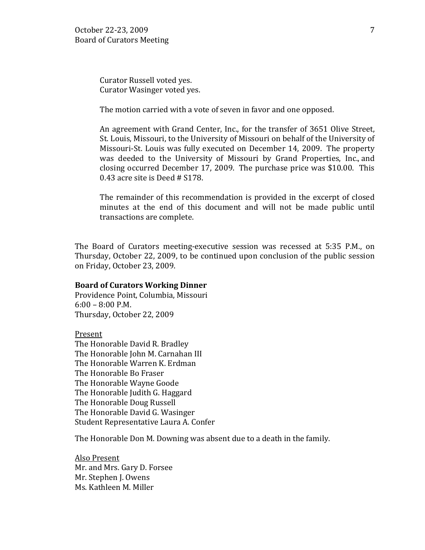Curator Russell voted yes. Curator Wasinger voted yes.

The motion carried with a vote of seven in favor and one opposed.

An agreement with Grand Center, Inc., for the transfer of 3651 Olive Street, St. Louis, Missouri, to the University of Missouri on behalf of the University of Missouri-St. Louis was fully executed on December 14, 2009. The property was deeded to the University of Missouri by Grand Properties, Inc., and closing occurred December 17, 2009. The purchase price was \$10.00. This 0.43 acre site is Deed # S178.

The remainder of this recommendation is provided in the excerpt of closed minutes at the end of this document and will not be made public until transactions are complete.

The Board of Curators meeting-executive session was recessed at 5:35 P.M., on Thursday, October 22, 2009, to be continued upon conclusion of the public session on Friday, October 23, 2009.

#### **Board of Curators Working Dinner**

Providence Point, Columbia, Missouri 6:00 – 8:00 P.M. Thursday, October 22, 2009

Present The Honorable David R. Bradley The Honorable John M. Carnahan III The Honorable Warren K. Erdman The Honorable Bo Fraser The Honorable Wayne Goode The Honorable Judith G. Haggard The Honorable Doug Russell The Honorable David G. Wasinger Student Representative Laura A. Confer

The Honorable Don M. Downing was absent due to a death in the family.

Also Present Mr. and Mrs. Gary D. Forsee Mr. Stephen J. Owens Ms. Kathleen M. Miller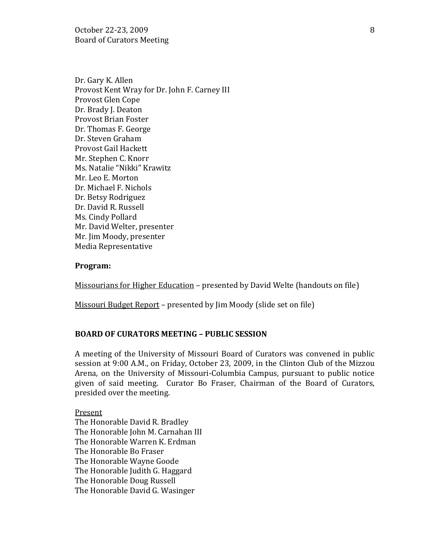October 22-23, 2009 8 Board of Curators Meeting

Dr. Gary K. Allen Provost Kent Wray for Dr. John F. Carney III Provost Glen Cope Dr. Brady J. Deaton Provost Brian Foster Dr. Thomas F. George Dr. Steven Graham Provost Gail Hackett Mr. Stephen C. Knorr Ms. Natalie "Nikki" Krawitz Mr. Leo E. Morton Dr. Michael F. Nichols Dr. Betsy Rodriguez Dr. David R. Russell Ms. Cindy Pollard Mr. David Welter, presenter Mr. Jim Moody, presenter Media Representative

#### **Program:**

Missourians for Higher Education – presented by David Welte (handouts on file)

Missouri Budget Report – presented by Jim Moody (slide set on file)

#### **BOARD OF CURATORS MEETING – PUBLIC SESSION**

A meeting of the University of Missouri Board of Curators was convened in public session at 9:00 A.M., on Friday, October 23, 2009, in the Clinton Club of the Mizzou Arena, on the University of Missouri-Columbia Campus, pursuant to public notice given of said meeting. Curator Bo Fraser, Chairman of the Board of Curators, presided over the meeting.

## Present

The Honorable David R. Bradley The Honorable John M. Carnahan III The Honorable Warren K. Erdman The Honorable Bo Fraser The Honorable Wayne Goode The Honorable Judith G. Haggard The Honorable Doug Russell The Honorable David G. Wasinger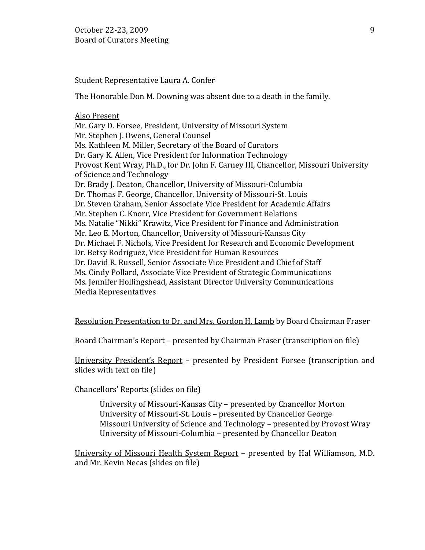Student Representative Laura A. Confer

The Honorable Don M. Downing was absent due to a death in the family.

#### Also Present

Mr. Gary D. Forsee, President, University of Missouri System Mr. Stephen J. Owens, General Counsel Ms. Kathleen M. Miller, Secretary of the Board of Curators Dr. Gary K. Allen, Vice President for Information Technology Provost Kent Wray, Ph.D., for Dr. John F. Carney III, Chancellor, Missouri University of Science and Technology Dr. Brady J. Deaton, Chancellor, University of Missouri-Columbia Dr. Thomas F. George, Chancellor, University of Missouri-St. Louis Dr. Steven Graham, Senior Associate Vice President for Academic Affairs Mr. Stephen C. Knorr, Vice President for Government Relations Ms. Natalie "Nikki" Krawitz, Vice President for Finance and Administration Mr. Leo E. Morton, Chancellor, University of Missouri-Kansas City Dr. Michael F. Nichols, Vice President for Research and Economic Development Dr. Betsy Rodriguez, Vice President for Human Resources Dr. David R. Russell, Senior Associate Vice President and Chief of Staff Ms. Cindy Pollard, Associate Vice President of Strategic Communications Ms. Jennifer Hollingshead, Assistant Director University Communications Media Representatives

Resolution Presentation to Dr. and Mrs. Gordon H. Lamb by Board Chairman Fraser

Board Chairman's Report – presented by Chairman Fraser (transcription on file)

University President's Report – presented by President Forsee (transcription and slides with text on file)

Chancellors' Reports (slides on file)

University of Missouri-Kansas City – presented by Chancellor Morton University of Missouri-St. Louis – presented by Chancellor George Missouri University of Science and Technology – presented by Provost Wray University of Missouri-Columbia – presented by Chancellor Deaton

University of Missouri Health System Report – presented by Hal Williamson, M.D. and Mr. Kevin Necas (slides on file)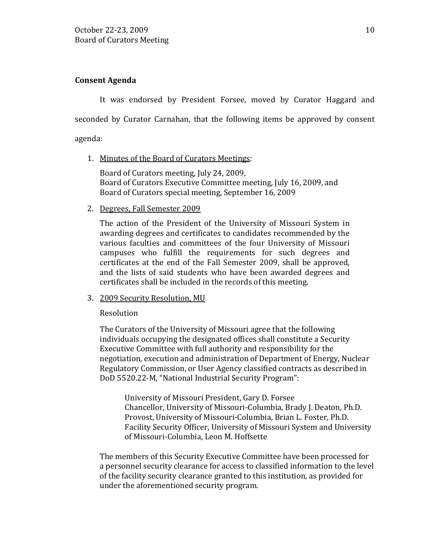## **Consent Agenda**

It was endorsed by President Forsee, moved by Curator Haggard and seconded by Curator Carnahan, that the following items be approved by consent agenda:

1. Minutes of the Board of Curators Meetings:

Board of Curators meeting, July 24, 2009, Board of Curators Executive Committee meeting, July 16, 2009, and Board of Curators special meeting, September 16, 2009

2. Degrees, Fall Semester 2009

The action of the President of the University of Missouri System in awarding degrees and certificates to candidates recommended by the various faculties and committees of the four University of Missouri campuses who fulfill the requirements for such degrees and certificates at the end of the Fall Semester 2009, shall be approved, and the lists of said students who have been awarded degrees and certificates shall be included in the records of this meeting.

3. 2009 Security Resolution, MU

### Resolution

The Curators of the University of Missouri agree that the following individuals occupying the designated offices shall constitute a Security Executive Committee with full authority and responsibility for the negotiation, execution and administration of Department of Energy, Nuclear Regulatory Commission, or User Agency classified contracts as described in DoD 5520.22-M, "National Industrial Security Program":

University of Missouri President, Gary D. Forsee Chancellor, University of Missouri-Columbia, Brady J. Deaton, Ph.D. Provost, University of Missouri-Columbia, Brian L. Foster, Ph.D. Facility Security Officer, University of Missouri System and University of Missouri-Columbia, Leon M. Hoffsette

The members of this Security Executive Committee have been processed for a personnel security clearance for access to classified information to the level of the facility security clearance granted to this institution, as provided for under the aforementioned security program.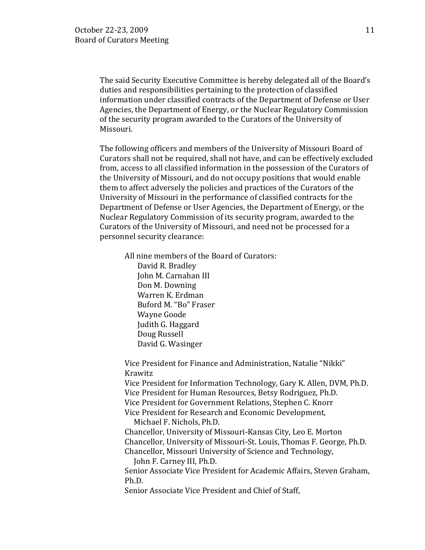The said Security Executive Committee is hereby delegated all of the Board's duties and responsibilities pertaining to the protection of classified information under classified contracts of the Department of Defense or User Agencies, the Department of Energy, or the Nuclear Regulatory Commission of the security program awarded to the Curators of the University of Missouri.

The following officers and members of the University of Missouri Board of Curators shall not be required, shall not have, and can be effectively excluded from, access to all classified information in the possession of the Curators of the University of Missouri, and do not occupy positions that would enable them to affect adversely the policies and practices of the Curators of the University of Missouri in the performance of classified contracts for the Department of Defense or User Agencies, the Department of Energy, or the Nuclear Regulatory Commission of its security program, awarded to the Curators of the University of Missouri, and need not be processed for a personnel security clearance:

All nine members of the Board of Curators: David R. Bradley John M. Carnahan III Don M. Downing Warren K. Erdman Buford M. "Bo" Fraser Wayne Goode Judith G. Haggard Doug Russell David G. Wasinger

Vice President for Finance and Administration, Natalie "Nikki" Krawitz

Vice President for Information Technology, Gary K. Allen, DVM, Ph.D. Vice President for Human Resources, Betsy Rodriguez, Ph.D. Vice President for Government Relations, Stephen C. Knorr Vice President for Research and Economic Development,

Michael F. Nichols, Ph.D.

Chancellor, University of Missouri-Kansas City, Leo E. Morton Chancellor, University of Missouri-St. Louis, Thomas F. George, Ph.D. Chancellor, Missouri University of Science and Technology,

John F. Carney III, Ph.D.

Senior Associate Vice President for Academic Affairs, Steven Graham, Ph.D.

Senior Associate Vice President and Chief of Staff,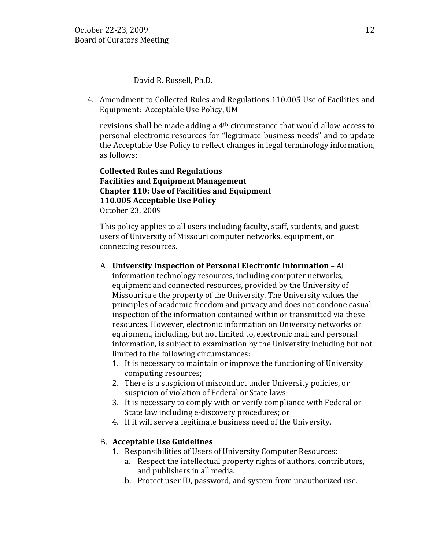David R. Russell, Ph.D.

4. Amendment to Collected Rules and Regulations 110.005 Use of Facilities and Equipment: Acceptable Use Policy, UM

revisions shall be made adding a 4th circumstance that would allow access to personal electronic resources for "legitimate business needs" and to update the Acceptable Use Policy to reflect changes in legal terminology information, as follows:

## **Collected Rules and Regulations Facilities and Equipment Management Chapter 110: Use of Facilities and Equipment 110.005 Acceptable Use Policy** October 23, 2009

This policy applies to all users including faculty, staff, students, and guest users of University of Missouri computer networks, equipment, or connecting resources.

- A. **University Inspection of Personal Electronic Information** All information technology resources, including computer networks, equipment and connected resources, provided by the University of Missouri are the property of the University. The University values the principles of academic freedom and privacy and does not condone casual inspection of the information contained within or transmitted via these resources. However, electronic information on University networks or equipment, including, but not limited to, electronic mail and personal information, is subject to examination by the University including but not limited to the following circumstances:
	- 1. It is necessary to maintain or improve the functioning of University computing resources;
	- 2. There is a suspicion of misconduct under University policies, or suspicion of violation of Federal or State laws;
	- 3. It is necessary to comply with or verify compliance with Federal or State law including e-discovery procedures; or
	- 4. If it will serve a legitimate business need of the University.

# B. **Acceptable Use Guidelines**

- 1. Responsibilities of Users of University Computer Resources:
	- a. Respect the intellectual property rights of authors, contributors, and publishers in all media.
	- b. Protect user ID, password, and system from unauthorized use.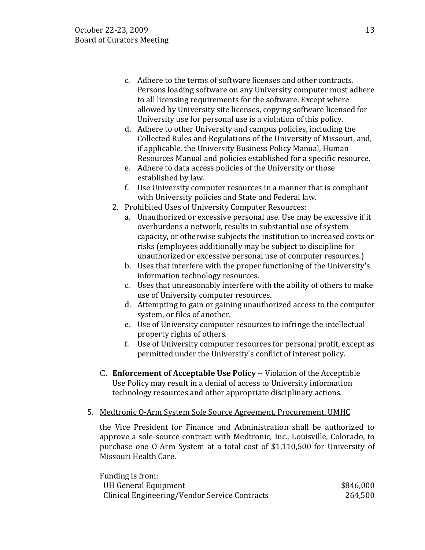- c. Adhere to the terms of software licenses and other contracts. Persons loading software on any University computer must adhere to all licensing requirements for the software. Except where allowed by University site licenses, copying software licensed for University use for personal use is a violation of this policy.
- d. Adhere to other University and campus policies, including the Collected Rules and Regulations of the University of Missouri, and, if applicable, the University Business Policy Manual, Human Resources Manual and policies established for a specific resource.
- e. Adhere to data access policies of the University or those established by law.
- f. Use University computer resources in a manner that is compliant with University policies and State and Federal law.
- 2. Prohibited Uses of University Computer Resources:
	- a. Unauthorized or excessive personal use. Use may be excessive if it overburdens a network, results in substantial use of system capacity, or otherwise subjects the institution to increased costs or risks (employees additionally may be subject to discipline for unauthorized or excessive personal use of computer resources.)
	- b. Uses that interfere with the proper functioning of the University's information technology resources.
	- c. Uses that unreasonably interfere with the ability of others to make use of University computer resources.
	- d. Attempting to gain or gaining unauthorized access to the computer system, or files of another.
	- e. Use of University computer resources to infringe the intellectual property rights of others.
	- f. Use of University computer resources for personal profit, except as permitted under the University's conflict of interest policy.
- C. **Enforcement of Acceptable Use Policy** -- Violation of the Acceptable Use Policy may result in a denial of access to University information technology resources and other appropriate disciplinary actions.
- 5. Medtronic O-Arm System Sole Source Agreement, Procurement, UMHC

the Vice President for Finance and Administration shall be authorized to approve a sole-source contract with Medtronic, Inc., Louisville, Colorado, to purchase one O-Arm System at a total cost of \$1,110,500 for University of Missouri Health Care.

| Funding is from:                              |           |
|-----------------------------------------------|-----------|
| UH General Equipment                          | \$846,000 |
| Clinical Engineering/Vendor Service Contracts | 264,500   |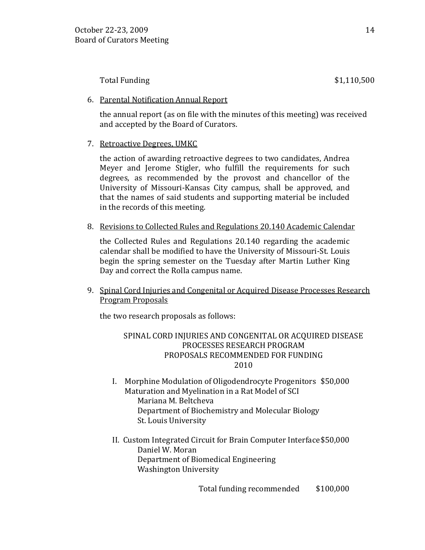Total Funding \$1,110,500

### 6. Parental Notification Annual Report

the annual report (as on file with the minutes of this meeting) was received and accepted by the Board of Curators.

# 7. Retroactive Degrees, UMKC

the action of awarding retroactive degrees to two candidates, Andrea Meyer and Jerome Stigler, who fulfill the requirements for such degrees, as recommended by the provost and chancellor of the University of Missouri-Kansas City campus, shall be approved, and that the names of said students and supporting material be included in the records of this meeting.

8. Revisions to Collected Rules and Regulations 20.140 Academic Calendar

the Collected Rules and Regulations 20.140 regarding the academic calendar shall be modified to have the University of Missouri-St. Louis begin the spring semester on the Tuesday after Martin Luther King Day and correct the Rolla campus name.

9. Spinal Cord Injuries and Congenital or Acquired Disease Processes Research Program Proposals

the two research proposals as follows:

## SPINAL CORD INJURIES AND CONGENITAL OR ACQUIRED DISEASE PROCESSES RESEARCH PROGRAM PROPOSALS RECOMMENDED FOR FUNDING 2010

- I. Morphine Modulation of Oligodendrocyte Progenitors \$50,000 Maturation and Myelination in a Rat Model of SCI Mariana M. Beltcheva Department of Biochemistry and Molecular Biology St. Louis University
- II. Custom Integrated Circuit for Brain Computer Interface\$50,000 Daniel W. Moran Department of Biomedical Engineering Washington University

Total funding recommended \$100,000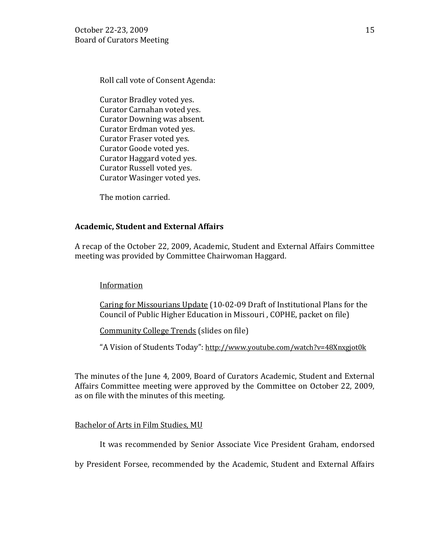Roll call vote of Consent Agenda:

Curator Bradley voted yes. Curator Carnahan voted yes. Curator Downing was absent. Curator Erdman voted yes. Curator Fraser voted yes. Curator Goode voted yes. Curator Haggard voted yes. Curator Russell voted yes. Curator Wasinger voted yes.

The motion carried.

# **Academic, Student and External Affairs**

A recap of the October 22, 2009, Academic, Student and External Affairs Committee meeting was provided by Committee Chairwoman Haggard.

# Information

Caring for Missourians Update (10-02-09 Draft of Institutional Plans for the Council of Public Higher Education in Missouri , COPHE, packet on file)

Community College Trends (slides on file)

"A Vision of Students Today":<http://www.youtube.com/watch?v=48Xnxgjot0k>

The minutes of the June 4, 2009, Board of Curators Academic, Student and External Affairs Committee meeting were approved by the Committee on October 22, 2009, as on file with the minutes of this meeting.

### Bachelor of Arts in Film Studies, MU

It was recommended by Senior Associate Vice President Graham, endorsed

by President Forsee, recommended by the Academic, Student and External Affairs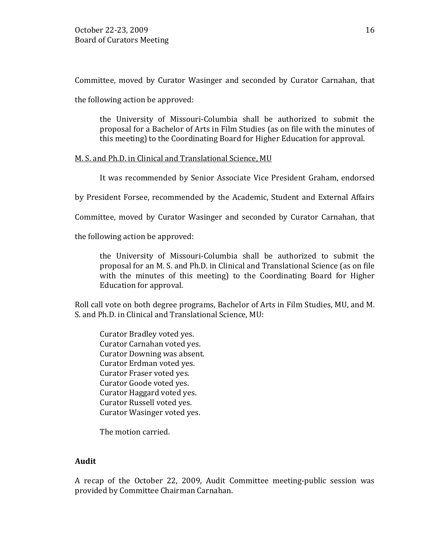Committee, moved by Curator Wasinger and seconded by Curator Carnahan, that

the following action be approved:

the University of Missouri-Columbia shall be authorized to submit the proposal for a Bachelor of Arts in Film Studies (as on file with the minutes of this meeting) to the Coordinating Board for Higher Education for approval.

## M. S. and Ph.D. in Clinical and Translational Science, MU

It was recommended by Senior Associate Vice President Graham, endorsed

by President Forsee, recommended by the Academic, Student and External Affairs

Committee, moved by Curator Wasinger and seconded by Curator Carnahan, that

the following action be approved:

the University of Missouri-Columbia shall be authorized to submit the proposal for an M. S. and Ph.D. in Clinical and Translational Science (as on file with the minutes of this meeting) to the Coordinating Board for Higher Education for approval.

Roll call vote on both degree programs, Bachelor of Arts in Film Studies, MU, and M. S. and Ph.D. in Clinical and Translational Science, MU:

Curator Bradley voted yes. Curator Carnahan voted yes. Curator Downing was absent. Curator Erdman voted yes. Curator Fraser voted yes. Curator Goode voted yes. Curator Haggard voted yes. Curator Russell voted yes. Curator Wasinger voted yes.

The motion carried.

### **Audit**

A recap of the October 22, 2009, Audit Committee meeting-public session was provided by Committee Chairman Carnahan.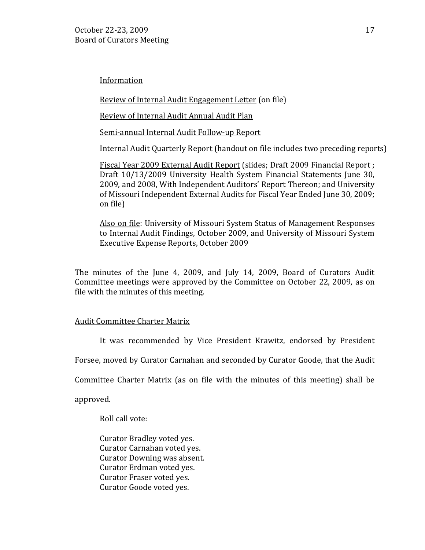Information

Review of Internal Audit Engagement Letter (on file)

Review of Internal Audit Annual Audit Plan

Semi-annual Internal Audit Follow-up Report

Internal Audit Quarterly Report (handout on file includes two preceding reports)

Fiscal Year 2009 External Audit Report (slides; Draft 2009 Financial Report ; Draft 10/13/2009 University Health System Financial Statements June 30, 2009, and 2008, With Independent Auditors' Report Thereon; and University of Missouri Independent External Audits for Fiscal Year Ended June 30, 2009; on file)

Also on file: University of Missouri System Status of Management Responses to Internal Audit Findings, October 2009, and University of Missouri System Executive Expense Reports, October 2009

The minutes of the June 4, 2009, and July 14, 2009, Board of Curators Audit Committee meetings were approved by the Committee on October 22, 2009, as on file with the minutes of this meeting.

# Audit Committee Charter Matrix

It was recommended by Vice President Krawitz, endorsed by President

Forsee, moved by Curator Carnahan and seconded by Curator Goode, that the Audit

Committee Charter Matrix (as on file with the minutes of this meeting) shall be

approved.

Roll call vote:

Curator Bradley voted yes. Curator Carnahan voted yes. Curator Downing was absent. Curator Erdman voted yes. Curator Fraser voted yes. Curator Goode voted yes.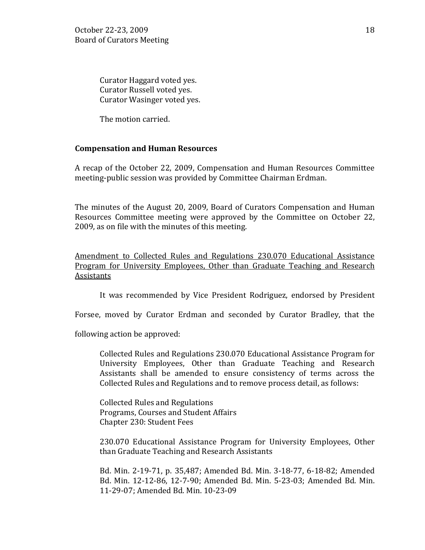Curator Haggard voted yes. Curator Russell voted yes. Curator Wasinger voted yes.

The motion carried.

## **Compensation and Human Resources**

A recap of the October 22, 2009, Compensation and Human Resources Committee meeting-public session was provided by Committee Chairman Erdman.

The minutes of the August 20, 2009, Board of Curators Compensation and Human Resources Committee meeting were approved by the Committee on October 22, 2009, as on file with the minutes of this meeting.

Amendment to Collected Rules and Regulations 230.070 Educational Assistance Program for University Employees, Other than Graduate Teaching and Research Assistants

It was recommended by Vice President Rodriguez, endorsed by President

Forsee, moved by Curator Erdman and seconded by Curator Bradley, that the

following action be approved:

Collected Rules and Regulations 230.070 Educational Assistance Program for University Employees, Other than Graduate Teaching and Research Assistants shall be amended to ensure consistency of terms across the Collected Rules and Regulations and to remove process detail, as follows:

Collected Rules and Regulations Programs, Courses and Student Affairs Chapter 230: Student Fees

230.070 Educational Assistance Program for University Employees, Other than Graduate Teaching and Research Assistants

Bd. Min. 2-19-71, p. 35,487; Amended Bd. Min. 3-18-77, 6-18-82; Amended Bd. Min. 12-12-86, 12-7-90; Amended Bd. Min. 5-23-03; Amended Bd. Min. 11-29-07; Amended Bd. Min. 10-23-09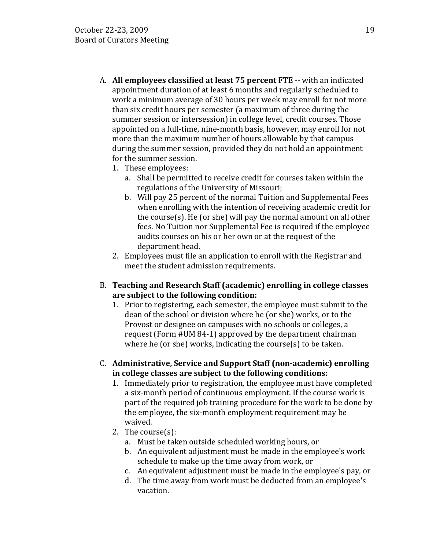- A. **All employees classified at least 75 percent FTE** -- with an indicated appointment duration of at least 6 months and regularly scheduled to work a minimum average of 30 hours per week may enroll for not more than six credit hours per semester (a maximum of three during the summer session or intersession) in college level, credit courses. Those appointed on a full-time, nine-month basis, however, may enroll for not more than the maximum number of hours allowable by that campus during the summer session, provided they do not hold an appointment for the summer session.
	- 1. These employees:
		- a. Shall be permitted to receive credit for courses taken within the regulations of the University of Missouri;
		- b. Will pay 25 percent of the normal Tuition and Supplemental Fees when enrolling with the intention of receiving academic credit for the course(s). He (or she) will pay the normal amount on all other fees. No Tuition nor Supplemental Fee is required if the employee audits courses on his or her own or at the request of the department head.
	- 2. Employees must file an application to enroll with the Registrar and meet the student admission requirements.
- B. **Teaching and Research Staff (academic) enrolling in college classes are subject to the following condition:** 
	- 1. Prior to registering, each semester, the employee must submit to the dean of the school or division where he (or she) works, or to the Provost or designee on campuses with no schools or colleges, a request (Form #UM 84-1) approved by the department chairman where he (or she) works, indicating the course(s) to be taken.
- C. **Administrative, Service and Support Staff (non-academic) enrolling in college classes are subject to the following conditions:** 
	- 1. Immediately prior to registration, the employee must have completed a six-month period of continuous employment. If the course work is part of the required job training procedure for the work to be done by the employee, the six-month employment requirement may be waived.
	- 2. The course(s):
		- a. Must be taken outside scheduled working hours, or
		- b. An equivalent adjustment must be made in the employee's work schedule to make up the time away from work, or
		- c. An equivalent adjustment must be made in the employee's pay, or
		- d. The time away from work must be deducted from an employee's vacation.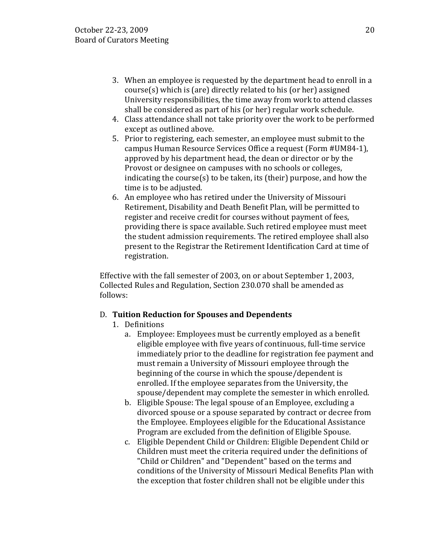- 3. When an employee is requested by the department head to enroll in a course(s) which is (are) directly related to his (or her) assigned University responsibilities, the time away from work to attend classes shall be considered as part of his (or her) regular work schedule.
- 4. Class attendance shall not take priority over the work to be performed except as outlined above.
- 5. Prior to registering, each semester, an employee must submit to the campus Human Resource Services Office a request (Form #UM84-1), approved by his department head, the dean or director or by the Provost or designee on campuses with no schools or colleges, indicating the course(s) to be taken, its (their) purpose, and how the time is to be adjusted.
- 6. An employee who has retired under the University of Missouri Retirement, Disability and Death Benefit Plan, will be permitted to register and receive credit for courses without payment of fees, providing there is space available. Such retired employee must meet the student admission requirements. The retired employee shall also present to the Registrar the Retirement Identification Card at time of registration.

Effective with the fall semester of 2003, on or about September 1, 2003, Collected Rules and Regulation, Section 230.070 shall be amended as follows:

# D. **Tuition Reduction for Spouses and Dependents**

- 1. Definitions
	- a. Employee: Employees must be currently employed as a benefit eligible employee with five years of continuous, full-time service immediately prior to the deadline for registration fee payment and must remain a University of Missouri employee through the beginning of the course in which the spouse/dependent is enrolled. If the employee separates from the University, the spouse/dependent may complete the semester in which enrolled.
	- b. Eligible Spouse: The legal spouse of an Employee, excluding a divorced spouse or a spouse separated by contract or decree from the Employee. Employees eligible for the Educational Assistance Program are excluded from the definition of Eligible Spouse.
	- c. Eligible Dependent Child or Children: Eligible Dependent Child or Children must meet the criteria required under the definitions of "Child or Children" and "Dependent" based on the terms and conditions of the University of Missouri Medical Benefits Plan with the exception that foster children shall not be eligible under this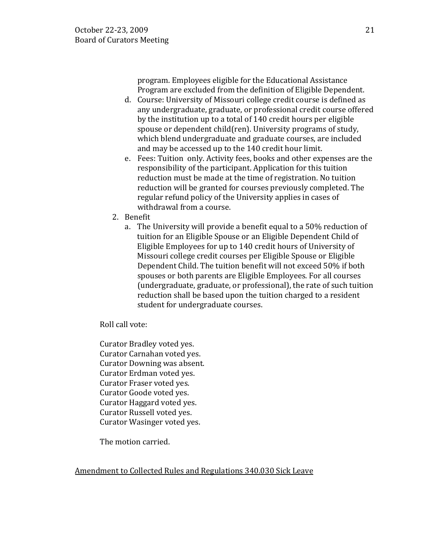program. Employees eligible for the Educational Assistance Program are excluded from the definition of Eligible Dependent.

- d. Course: University of Missouri college credit course is defined as any undergraduate, graduate, or professional credit course offered by the institution up to a total of 140 credit hours per eligible spouse or dependent child(ren). University programs of study, which blend undergraduate and graduate courses, are included and may be accessed up to the 140 credit hour limit.
- e. Fees: Tuition only. Activity fees, books and other expenses are the responsibility of the participant. Application for this tuition reduction must be made at the time of registration. No tuition reduction will be granted for courses previously completed. The regular refund policy of the University applies in cases of withdrawal from a course.
- 2. Benefit
	- a. The University will provide a benefit equal to a 50% reduction of tuition for an Eligible Spouse or an Eligible Dependent Child of Eligible Employees for up to 140 credit hours of University of Missouri college credit courses per Eligible Spouse or Eligible Dependent Child. The tuition benefit will not exceed 50% if both spouses or both parents are Eligible Employees. For all courses (undergraduate, graduate, or professional), the rate of such tuition reduction shall be based upon the tuition charged to a resident student for undergraduate courses.

Roll call vote:

Curator Bradley voted yes. Curator Carnahan voted yes. Curator Downing was absent. Curator Erdman voted yes. Curator Fraser voted yes. Curator Goode voted yes. Curator Haggard voted yes. Curator Russell voted yes. Curator Wasinger voted yes.

The motion carried.

Amendment to Collected Rules and Regulations 340.030 Sick Leave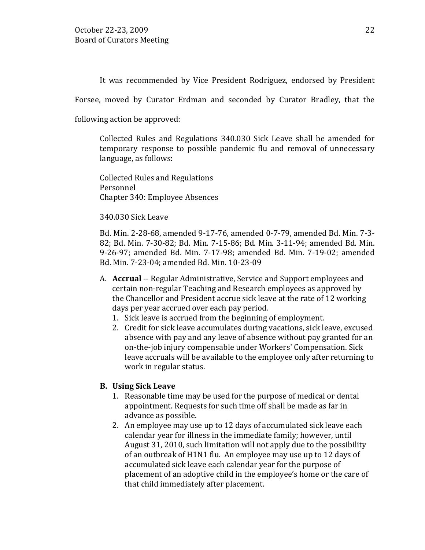It was recommended by Vice President Rodriguez, endorsed by President

Forsee, moved by Curator Erdman and seconded by Curator Bradley, that the

following action be approved:

Collected Rules and Regulations 340.030 Sick Leave shall be amended for temporary response to possible pandemic flu and removal of unnecessary language, as follows:

Collected Rules and Regulations Personnel Chapter 340: Employee Absences

#### 340.030 Sick Leave

Bd. Min. 2-28-68, amended 9-17-76, amended 0-7-79, amended Bd. Min. 7-3- 82; Bd. Min. 7-30-82; Bd. Min. 7-15-86; Bd. Min. 3-11-94; amended Bd. Min. 9-26-97; amended Bd. Min. 7-17-98; amended Bd. Min. 7-19-02; amended Bd. Min. 7-23-04; amended Bd. Min. 10-23-09

- A. **Accrual** -- Regular Administrative, Service and Support employees and certain non-regular Teaching and Research employees as approved by the Chancellor and President accrue sick leave at the rate of 12 working days per year accrued over each pay period.
	- 1. Sick leave is accrued from the beginning of employment.
	- 2. Credit for sick leave accumulates during vacations, sick leave, excused absence with pay and any leave of absence without pay granted for an on-the-job injury compensable under Workers' Compensation. Sick leave accruals will be available to the employee only after returning to work in regular status.

#### **B. Using Sick Leave**

- 1. Reasonable time may be used for the purpose of medical or dental appointment. Requests for such time off shall be made as far in advance as possible.
- 2. An employee may use up to 12 days of accumulated sick leave each calendar year for illness in the immediate family; however, until August 31, 2010, such limitation will not apply due to the possibility of an outbreak of H1N1 flu. An employee may use up to 12 days of accumulated sick leave each calendar year for the purpose of placement of an adoptive child in the employee's home or the care of that child immediately after placement.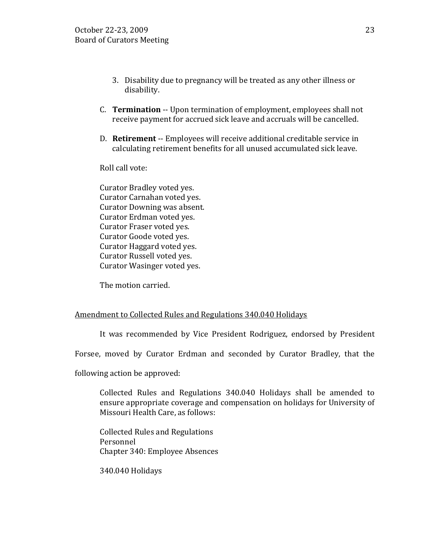- 3. Disability due to pregnancy will be treated as any other illness or disability.
- C. **Termination** -- Upon termination of employment, employees shall not receive payment for accrued sick leave and accruals will be cancelled.
- D. **Retirement** -- Employees will receive additional creditable service in calculating retirement benefits for all unused accumulated sick leave.

Roll call vote:

Curator Bradley voted yes. Curator Carnahan voted yes. Curator Downing was absent. Curator Erdman voted yes. Curator Fraser voted yes. Curator Goode voted yes. Curator Haggard voted yes. Curator Russell voted yes. Curator Wasinger voted yes.

The motion carried.

# Amendment to Collected Rules and Regulations 340.040 Holidays

It was recommended by Vice President Rodriguez, endorsed by President

Forsee, moved by Curator Erdman and seconded by Curator Bradley, that the

following action be approved:

Collected Rules and Regulations 340.040 Holidays shall be amended to ensure appropriate coverage and compensation on holidays for University of Missouri Health Care, as follows:

Collected Rules and Regulations Personnel Chapter 340: Employee Absences

340.040 Holidays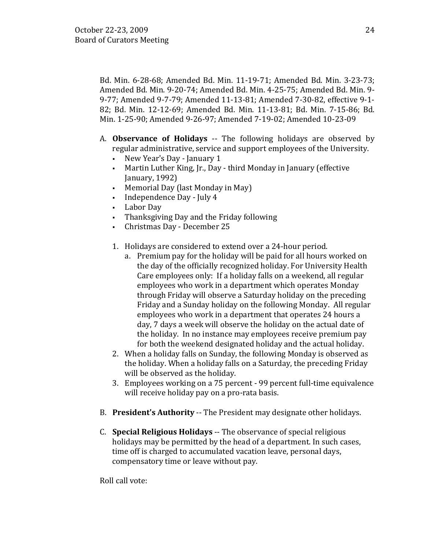Bd. Min. 6-28-68; Amended Bd. Min. 11-19-71; Amended Bd. Min. 3-23-73; Amended Bd. Min. 9-20-74; Amended Bd. Min. 4-25-75; Amended Bd. Min. 9- 9-77; Amended 9-7-79; Amended 11-13-81; Amended 7-30-82, effective 9-1- 82; Bd. Min. 12-12-69; Amended Bd. Min. 11-13-81; Bd. Min. 7-15-86; Bd. Min. 1-25-90; Amended 9-26-97; Amended 7-19-02; Amended 10-23-09

- A. **Observance of Holidays** -- The following holidays are observed by regular administrative, service and support employees of the University.<br>• New Year's Day - January 1
	- New Year's Day January 1
	- Martin Luther King, Jr., Day third Monday in January (effective January, 1992)
	- Memorial Day (last Monday in May)
	- Independence Day July 4
	- Labor Day<br>• Thanksgivi
	- Thanksgiving Day and the Friday following
	- Christmas Day December 25
	- 1. Holidays are considered to extend over a 24-hour period.
		- a. Premium pay for the holiday will be paid for all hours worked on the day of the officially recognized holiday. For University Health Care employees only: If a holiday falls on a weekend, all regular employees who work in a department which operates Monday through Friday will observe a Saturday holiday on the preceding Friday and a Sunday holiday on the following Monday. All regular employees who work in a department that operates 24 hours a day, 7 days a week will observe the holiday on the actual date of the holiday. In no instance may employees receive premium pay for both the weekend designated holiday and the actual holiday.
	- 2. When a holiday falls on Sunday, the following Monday is observed as the holiday. When a holiday falls on a Saturday, the preceding Friday will be observed as the holiday.
	- 3. Employees working on a 75 percent 99 percent full-time equivalence will receive holiday pay on a pro-rata basis.
- B. **President's Authority** -- The President may designate other holidays.
- C. **Special Religious Holidays** -- The observance of special religious holidays may be permitted by the head of a department. In such cases, time off is charged to accumulated vacation leave, personal days, compensatory time or leave without pay.

Roll call vote: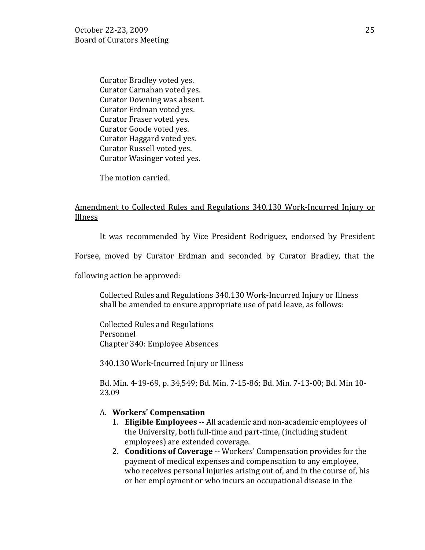Curator Bradley voted yes. Curator Carnahan voted yes. Curator Downing was absent. Curator Erdman voted yes. Curator Fraser voted yes. Curator Goode voted yes. Curator Haggard voted yes. Curator Russell voted yes. Curator Wasinger voted yes.

The motion carried.

## Amendment to Collected Rules and Regulations 340.130 Work-Incurred Injury or Illness

It was recommended by Vice President Rodriguez, endorsed by President

Forsee, moved by Curator Erdman and seconded by Curator Bradley, that the

following action be approved:

Collected Rules and Regulations 340.130 Work-Incurred Injury or Illness shall be amended to ensure appropriate use of paid leave, as follows:

Collected Rules and Regulations Personnel Chapter 340: Employee Absences

340.130 Work-Incurred Injury or Illness

Bd. Min. 4-19-69, p. 34,549; Bd. Min. 7-15-86; Bd. Min. 7-13-00; Bd. Min 10- 23.09

#### A. **Workers' Compensation**

- 1. **Eligible Employees** -- All academic and non-academic employees of the University, both full-time and part-time, (including student employees) are extended coverage.
- 2. **Conditions of Coverage** -- Workers' Compensation provides for the payment of medical expenses and compensation to any employee, who receives personal injuries arising out of, and in the course of, his or her employment or who incurs an occupational disease in the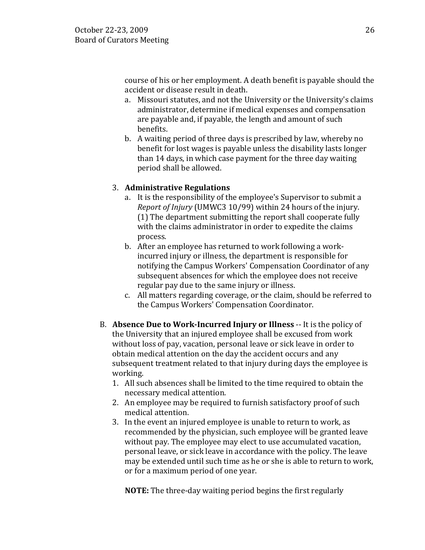course of his or her employment. A death benefit is payable should the accident or disease result in death.

- a. Missouri statutes, and not the University or the University's claims administrator, determine if medical expenses and compensation are payable and, if payable, the length and amount of such benefits.
- b. A waiting period of three days is prescribed by law, whereby no benefit for lost wages is payable unless the disability lasts longer than 14 days, in which case payment for the three day waiting period shall be allowed.

# 3. **Administrative Regulations**

- a. It is the responsibility of the employee's Supervisor to submit a *Report of Injury* (UMWC3 10/99) within 24 hours of the injury. (1) The department submitting the report shall cooperate fully with the claims administrator in order to expedite the claims process.
- b. After an employee has returned to work following a workincurred injury or illness, the department is responsible for notifying the Campus Workers' Compensation Coordinator of any subsequent absences for which the employee does not receive regular pay due to the same injury or illness.
- c. All matters regarding coverage, or the claim, should be referred to the Campus Workers' Compensation Coordinator.
- B. **Absence Due to Work-Incurred Injury or Illness** -- It is the policy of the University that an injured employee shall be excused from work without loss of pay, vacation, personal leave or sick leave in order to obtain medical attention on the day the accident occurs and any subsequent treatment related to that injury during days the employee is working.
	- 1. All such absences shall be limited to the time required to obtain the necessary medical attention.
	- 2. An employee may be required to furnish satisfactory proof of such medical attention.
	- 3. In the event an injured employee is unable to return to work, as recommended by the physician, such employee will be granted leave without pay. The employee may elect to use accumulated vacation, personal leave, or sick leave in accordance with the policy. The leave may be extended until such time as he or she is able to return to work, or for a maximum period of one year.

**NOTE:** The three-day waiting period begins the first regularly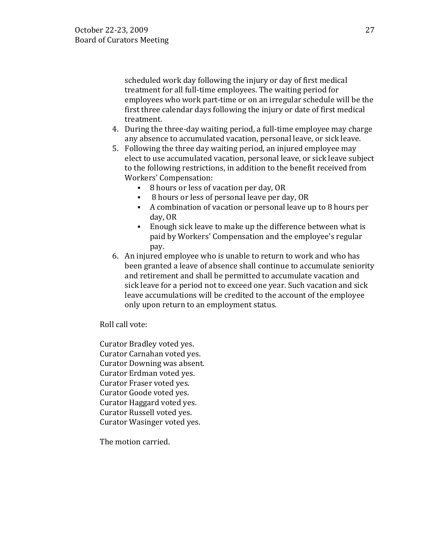scheduled work day following the injury or day of first medical treatment for all full-time employees. The waiting period for employees who work part-time or on an irregular schedule will be the first three calendar days following the injury or date of first medical treatment.

- 4. During the three-day waiting period, a full-time employee may charge any absence to accumulated vacation, personal leave, or sick leave.
- 5. Following the three day waiting period, an injured employee may elect to use accumulated vacation, personal leave, or sick leave subject to the following restrictions, in addition to the benefit received from Workers' Compensation:
	- 8 hours or less of vacation per day, OR
	- 8 hours or less of personal leave per day, OR
	- A combination of vacation or personal leave up to 8 hours per day, OR
	- Enough sick leave to make up the difference between what is paid by Workers' Compensation and the employee's regular pay.
- 6. An injured employee who is unable to return to work and who has been granted a leave of absence shall continue to accumulate seniority and retirement and shall be permitted to accumulate vacation and sick leave for a period not to exceed one year. Such vacation and sick leave accumulations will be credited to the account of the employee only upon return to an employment status.

Roll call vote:

Curator Bradley voted yes. Curator Carnahan voted yes. Curator Downing was absent. Curator Erdman voted yes. Curator Fraser voted yes. Curator Goode voted yes. Curator Haggard voted yes. Curator Russell voted yes. Curator Wasinger voted yes.

The motion carried.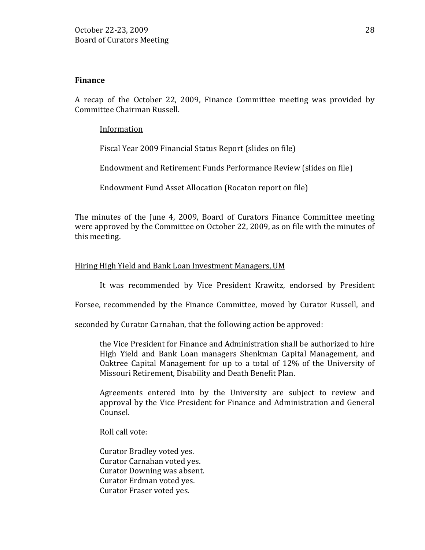### **Finance**

A recap of the October 22, 2009, Finance Committee meeting was provided by Committee Chairman Russell.

### Information

Fiscal Year 2009 Financial Status Report (slides on file)

Endowment and Retirement Funds Performance Review (slides on file)

Endowment Fund Asset Allocation (Rocaton report on file)

The minutes of the June 4, 2009, Board of Curators Finance Committee meeting were approved by the Committee on October 22, 2009, as on file with the minutes of this meeting.

## Hiring High Yield and Bank Loan Investment Managers, UM

It was recommended by Vice President Krawitz, endorsed by President

Forsee, recommended by the Finance Committee, moved by Curator Russell, and

seconded by Curator Carnahan, that the following action be approved:

the Vice President for Finance and Administration shall be authorized to hire High Yield and Bank Loan managers Shenkman Capital Management, and Oaktree Capital Management for up to a total of 12% of the University of Missouri Retirement, Disability and Death Benefit Plan.

Agreements entered into by the University are subject to review and approval by the Vice President for Finance and Administration and General Counsel.

Roll call vote:

Curator Bradley voted yes. Curator Carnahan voted yes. Curator Downing was absent. Curator Erdman voted yes. Curator Fraser voted yes.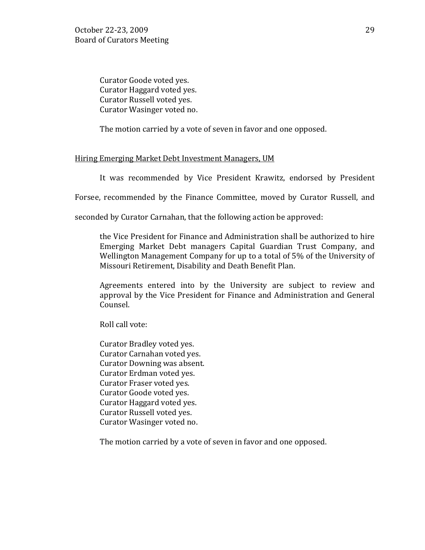Curator Goode voted yes. Curator Haggard voted yes. Curator Russell voted yes. Curator Wasinger voted no.

The motion carried by a vote of seven in favor and one opposed.

### Hiring Emerging Market Debt Investment Managers, UM

It was recommended by Vice President Krawitz, endorsed by President

Forsee, recommended by the Finance Committee, moved by Curator Russell, and

seconded by Curator Carnahan, that the following action be approved:

the Vice President for Finance and Administration shall be authorized to hire Emerging Market Debt managers Capital Guardian Trust Company, and Wellington Management Company for up to a total of 5% of the University of Missouri Retirement, Disability and Death Benefit Plan.

Agreements entered into by the University are subject to review and approval by the Vice President for Finance and Administration and General Counsel.

Roll call vote:

Curator Bradley voted yes. Curator Carnahan voted yes. Curator Downing was absent. Curator Erdman voted yes. Curator Fraser voted yes. Curator Goode voted yes. Curator Haggard voted yes. Curator Russell voted yes. Curator Wasinger voted no.

The motion carried by a vote of seven in favor and one opposed.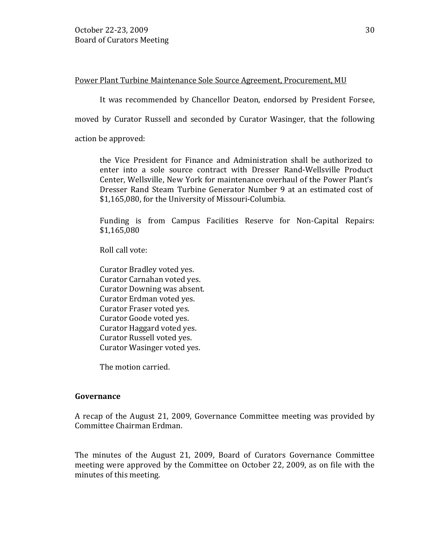### Power Plant Turbine Maintenance Sole Source Agreement, Procurement, MU

It was recommended by Chancellor Deaton, endorsed by President Forsee,

moved by Curator Russell and seconded by Curator Wasinger, that the following

action be approved:

the Vice President for Finance and Administration shall be authorized to enter into a sole source contract with Dresser Rand-Wellsville Product Center, Wellsville, New York for maintenance overhaul of the Power Plant's Dresser Rand Steam Turbine Generator Number 9 at an estimated cost of \$1,165,080, for the University of Missouri-Columbia.

Funding is from Campus Facilities Reserve for Non-Capital Repairs: \$1,165,080

Roll call vote:

Curator Bradley voted yes. Curator Carnahan voted yes. Curator Downing was absent. Curator Erdman voted yes. Curator Fraser voted yes. Curator Goode voted yes. Curator Haggard voted yes. Curator Russell voted yes. Curator Wasinger voted yes.

The motion carried.

### **Governance**

A recap of the August 21, 2009, Governance Committee meeting was provided by Committee Chairman Erdman.

The minutes of the August 21, 2009, Board of Curators Governance Committee meeting were approved by the Committee on October 22, 2009, as on file with the minutes of this meeting.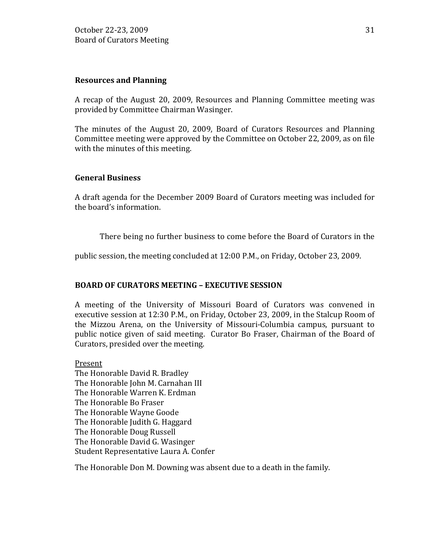### **Resources and Planning**

A recap of the August 20, 2009, Resources and Planning Committee meeting was provided by Committee Chairman Wasinger.

The minutes of the August 20, 2009, Board of Curators Resources and Planning Committee meeting were approved by the Committee on October 22, 2009, as on file with the minutes of this meeting.

### **General Business**

A draft agenda for the December 2009 Board of Curators meeting was included for the board's information.

There being no further business to come before the Board of Curators in the

public session, the meeting concluded at 12:00 P.M., on Friday, October 23, 2009.

### **BOARD OF CURATORS MEETING – EXECUTIVE SESSION**

A meeting of the University of Missouri Board of Curators was convened in executive session at 12:30 P.M., on Friday, October 23, 2009, in the Stalcup Room of the Mizzou Arena, on the University of Missouri-Columbia campus, pursuant to public notice given of said meeting. Curator Bo Fraser, Chairman of the Board of Curators, presided over the meeting.

Present The Honorable David R. Bradley The Honorable John M. Carnahan III The Honorable Warren K. Erdman The Honorable Bo Fraser The Honorable Wayne Goode The Honorable Judith G. Haggard The Honorable Doug Russell The Honorable David G. Wasinger Student Representative Laura A. Confer

The Honorable Don M. Downing was absent due to a death in the family.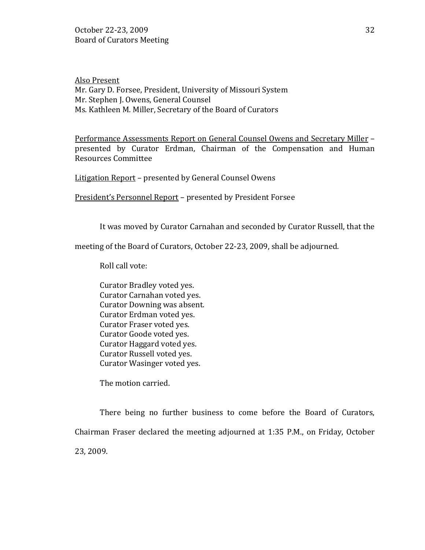Also Present Mr. Gary D. Forsee, President, University of Missouri System Mr. Stephen J. Owens, General Counsel Ms. Kathleen M. Miller, Secretary of the Board of Curators

Performance Assessments Report on General Counsel Owens and Secretary Miller – presented by Curator Erdman, Chairman of the Compensation and Human Resources Committee

Litigation Report – presented by General Counsel Owens

President's Personnel Report – presented by President Forsee

It was moved by Curator Carnahan and seconded by Curator Russell, that the

meeting of the Board of Curators, October 22-23, 2009, shall be adjourned.

Roll call vote:

Curator Bradley voted yes. Curator Carnahan voted yes. Curator Downing was absent. Curator Erdman voted yes. Curator Fraser voted yes. Curator Goode voted yes. Curator Haggard voted yes. Curator Russell voted yes. Curator Wasinger voted yes.

The motion carried.

There being no further business to come before the Board of Curators, Chairman Fraser declared the meeting adjourned at 1:35 P.M., on Friday, October 23, 2009.